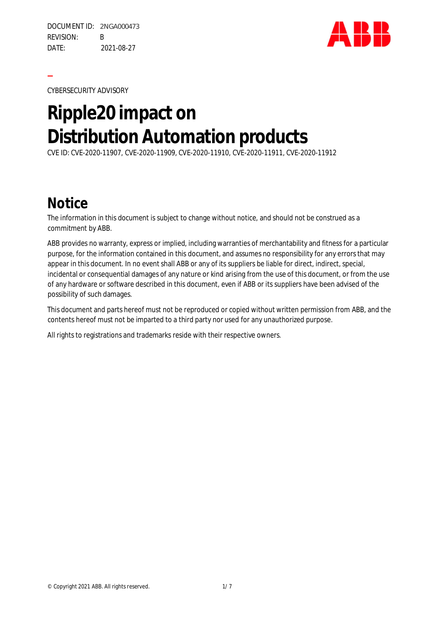

CYBERSECURITY ADVISORY

**—**

# **Ripple20 impact on Distribution Automation products**

CVE ID: CVE-2020-11907, CVE-2020-11909, CVE-2020-11910, CVE-2020-11911, CVE-2020-11912

#### **Notice**

The information in this document is subject to change without notice, and should not be construed as a commitment by ABB.

ABB provides no warranty, express or implied, including warranties of merchantability and fitness for a particular purpose, for the information contained in this document, and assumes no responsibility for any errors that may appear in this document. In no event shall ABB or any of its suppliers be liable for direct, indirect, special, incidental or consequential damages of any nature or kind arising from the use of this document, or from the use of any hardware or software described in this document, even if ABB or its suppliers have been advised of the possibility of such damages.

This document and parts hereof must not be reproduced or copied without written permission from ABB, and the contents hereof must not be imparted to a third party nor used for any unauthorized purpose.

All rights to registrations and trademarks reside with their respective owners.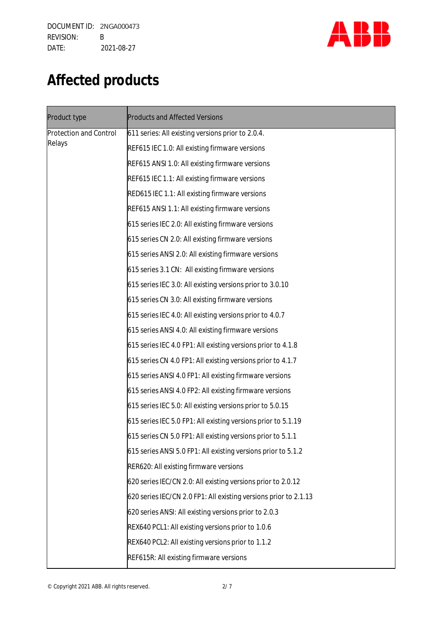

# **Affected products**

| Product type                            | <b>Products and Affected Versions</b>                            |
|-----------------------------------------|------------------------------------------------------------------|
| <b>Protection and Control</b><br>Relays | 611 series: All existing versions prior to 2.0.4.                |
|                                         | REF615 IEC 1.0: All existing firmware versions                   |
|                                         | REF615 ANSI 1.0: All existing firmware versions                  |
|                                         | REF615 IEC 1.1: All existing firmware versions                   |
|                                         | RED615 IEC 1.1: All existing firmware versions                   |
|                                         | REF615 ANSI 1.1: All existing firmware versions                  |
|                                         | 615 series IEC 2.0: All existing firmware versions               |
|                                         | 615 series CN 2.0: All existing firmware versions                |
|                                         | 615 series ANSI 2.0: All existing firmware versions              |
|                                         | 615 series 3.1 CN: All existing firmware versions                |
|                                         | 615 series IEC 3.0: All existing versions prior to 3.0.10        |
|                                         | 615 series CN 3.0: All existing firmware versions                |
|                                         | 615 series IEC 4.0: All existing versions prior to 4.0.7         |
|                                         | 615 series ANSI 4.0: All existing firmware versions              |
|                                         | 615 series IEC 4.0 FP1: All existing versions prior to 4.1.8     |
|                                         | 615 series CN 4.0 FP1: All existing versions prior to 4.1.7      |
|                                         | 615 series ANSI 4.0 FP1: All existing firmware versions          |
|                                         | 615 series ANSI 4.0 FP2: All existing firmware versions          |
|                                         | 615 series IEC 5.0: All existing versions prior to 5.0.15        |
|                                         | 615 series IEC 5.0 FP1: All existing versions prior to 5.1.19    |
|                                         | 615 series CN 5.0 FP1: All existing versions prior to 5.1.1      |
|                                         | 615 series ANSI 5.0 FP1: All existing versions prior to 5.1.2    |
|                                         | RER620: All existing firmware versions                           |
|                                         | 620 series IEC/CN 2.0: All existing versions prior to 2.0.12     |
|                                         | 620 series IEC/CN 2.0 FP1: All existing versions prior to 2.1.13 |
|                                         | 620 series ANSI: All existing versions prior to 2.0.3            |
|                                         | REX640 PCL1: All existing versions prior to 1.0.6                |
|                                         | REX640 PCL2: All existing versions prior to 1.1.2                |
|                                         | REF615R: All existing firmware versions                          |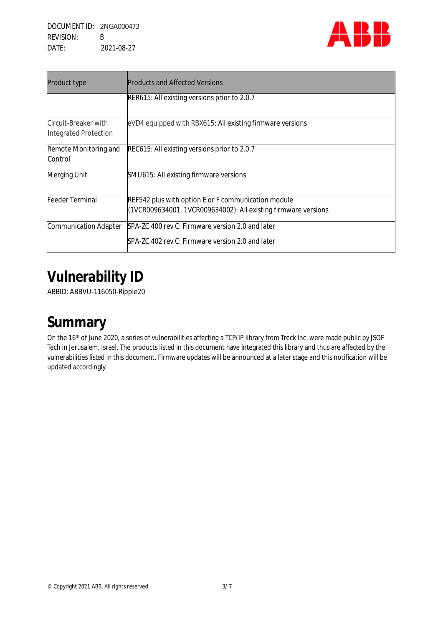

| Product type                                  | <b>Products and Affected Versions</b>                                                                                 |
|-----------------------------------------------|-----------------------------------------------------------------------------------------------------------------------|
|                                               | RER615: All existing versions prior to 2.0.7                                                                          |
| Circuit-Breaker with<br>Integrated Protection | eVD4 equipped with RBX615: All existing firmware versions                                                             |
| Remote Monitoring and<br>Control              | REC615: All existing versions prior to 2.0.7                                                                          |
| <b>Merging Unit</b>                           | SMU615: All existing firmware versions                                                                                |
| Feeder Terminal                               | REF542 plus with option E or F communication module<br>(1VCR009634001, 1VCR009634002): All existing firmware versions |
| <b>Communication Adapter</b>                  | SPA-ZC 400 rev C: Firmware version 2.0 and later<br>SPA-ZC 402 rev C: Firmware version 2.0 and later                  |

# **Vulnerability ID**

ABBID: ABBVU-116050-Ripple20

### **Summary**

On the 16<sup>th</sup> of June 2020, a series of vulnerabilities affecting a TCP/IP library from Treck Inc. were made public by JSOF Tech in Jerusalem, Israel. The products listed in this document have integrated this library and thus are affected by the vulnerabilities listed in this document. Firmware updates will be announced at a later stage and this notification will be updated accordingly.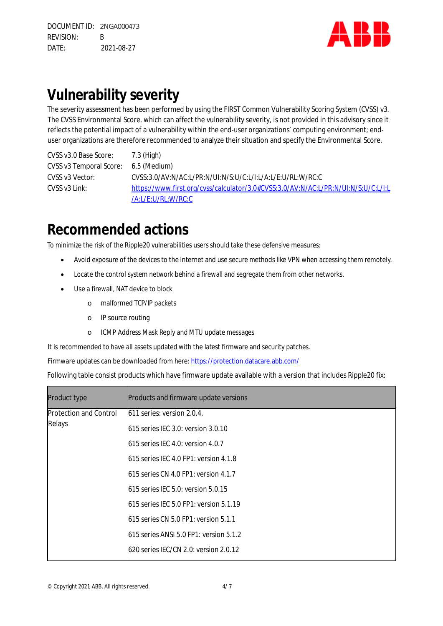

## **Vulnerability severity**

The severity assessment has been performed by using the FIRST Common Vulnerability Scoring System (CVSS) v3. The CVSS Environmental Score, which can affect the vulnerability severity, is not provided in this advisory since it reflects the potential impact of a vulnerability within the end-user organizations' computing environment; enduser organizations are therefore recommended to analyze their situation and specify the Environmental Score.

CVSS v3.0 Base Score: 7.3 (High) CVSS v3 Temporal Score: 6.5 (Medium) CVSS v3 Vector: CVSS:3.0/AV:N/AC:L/PR:N/UI:N/S:U/C:L/I:L/A:L/E:U/RL:W/RC:C CVSS v3 Link: https://www.first.org/cvss/calculator/3.0#CVSS:3.0/AV:N/AC:L/PR:N/UI:N/S:U/C:L/I:L /A:L/E:U/RL:W/RC:C

#### **Recommended actions**

To minimize the risk of the Ripple20 vulnerabilities users should take these defensive measures:

- Avoid exposure of the devices to the Internet and use secure methods like VPN when accessing them remotely.
- Locate the control system network behind a firewall and segregate them from other networks.
- Use a firewall, NAT device to block
	- o malformed TCP/IP packets
	- o IP source routing
	- o ICMP Address Mask Reply and MTU update messages

It is recommended to have all assets updated with the latest firmware and security patches.

Firmware updates can be downloaded from here: https://protection.datacare.abb.com/

Following table consist products which have firmware update available with a version that includes Ripple20 fix:

| Product type                            | Products and firmware update versions  |
|-----------------------------------------|----------------------------------------|
| <b>Protection and Control</b><br>Relays | 611 series: version 2.0.4.             |
|                                         | 615 series IEC 3.0: version 3.0.10     |
|                                         | 615 series IEC 4.0: version 4.0.7      |
|                                         | 615 series IEC 4.0 FP1: version 4.1.8  |
|                                         | 615 series CN 4.0 FP1: version 4.1.7   |
|                                         | 615 series IEC 5.0: version 5.0.15     |
|                                         | 615 series IEC 5.0 FP1: version 5.1.19 |
|                                         | 615 series CN 5.0 FP1: version 5.1.1   |
|                                         | 615 series ANSI 5.0 FP1: version 5.1.2 |
|                                         | 620 series IEC/CN 2.0: version 2.0.12  |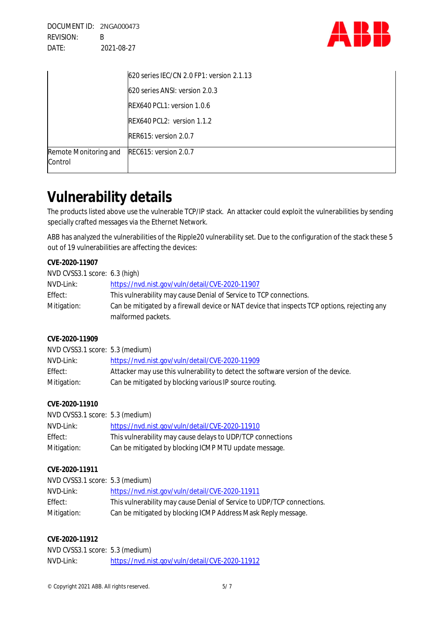

|                                  | 620 series IEC/CN 2.0 FP1: version 2.1.13 |
|----------------------------------|-------------------------------------------|
|                                  | 620 series ANSI: version 2.0.3            |
|                                  | REX640 PCL1: version 1.0.6                |
|                                  | REX640 PCL2: version 1.1.2                |
|                                  | RER615: version 2.0.7                     |
| Remote Monitoring and<br>Control | REC615: version 2.0.7                     |

## **Vulnerability details**

The products listed above use the vulnerable TCP/IP stack. An attacker could exploit the vulnerabilities by sending specially crafted messages via the Ethernet Network.

ABB has analyzed the vulnerabilities of the Ripple20 vulnerability set. Due to the configuration of the stack these 5 out of 19 vulnerabilities are affecting the devices:

| CVE-2020-11907<br>NVD CVSS3.1 score: 6.3 (high)<br>NVD-Link:<br>Effect:<br>Mitigation: | https://nvd.nist.gov/vuln/detail/CVE-2020-11907<br>This vulnerability may cause Denial of Service to TCP connections.<br>Can be mitigated by a firewall device or NAT device that inspects TCP options, rejecting any<br>malformed packets. |
|----------------------------------------------------------------------------------------|---------------------------------------------------------------------------------------------------------------------------------------------------------------------------------------------------------------------------------------------|
| CVE-2020-11909<br>NVD CVSS3.1 score: 5.3 (medium)                                      |                                                                                                                                                                                                                                             |
| NVD-Link:                                                                              | https://nvd.nist.gov/vuln/detail/CVE-2020-11909                                                                                                                                                                                             |
| Effect:                                                                                | Attacker may use this vulnerability to detect the software version of the device.                                                                                                                                                           |
| Mitigation:                                                                            | Can be mitigated by blocking various IP source routing.                                                                                                                                                                                     |
| CVE-2020-11910                                                                         |                                                                                                                                                                                                                                             |
| NVD CVSS3.1 score: 5.3 (medium)                                                        |                                                                                                                                                                                                                                             |
| NVD-Link:                                                                              | https://nvd.nist.gov/vuln/detail/CVE-2020-11910                                                                                                                                                                                             |
| Effect:                                                                                | This vulnerability may cause delays to UDP/TCP connections                                                                                                                                                                                  |
| Mitigation:                                                                            | Can be mitigated by blocking ICMP MTU update message.                                                                                                                                                                                       |
| CVE-2020-11911                                                                         |                                                                                                                                                                                                                                             |
| NVD CVSS3.1 score: 5.3 (medium)                                                        |                                                                                                                                                                                                                                             |
| NVD-Link:                                                                              | https://nvd.nist.gov/vuln/detail/CVE-2020-11911                                                                                                                                                                                             |
| Effect:                                                                                | This vulnerability may cause Denial of Service to UDP/TCP connections.                                                                                                                                                                      |
| Mitigation:                                                                            | Can be mitigated by blocking ICMP Address Mask Reply message.                                                                                                                                                                               |
| CVE-2020-11912                                                                         |                                                                                                                                                                                                                                             |
| NVD CVSS3.1 score: 5.3 (medium)                                                        |                                                                                                                                                                                                                                             |
| NVD-Link:                                                                              | https://nvd.nist.gov/vuln/detail/CVE-2020-11912                                                                                                                                                                                             |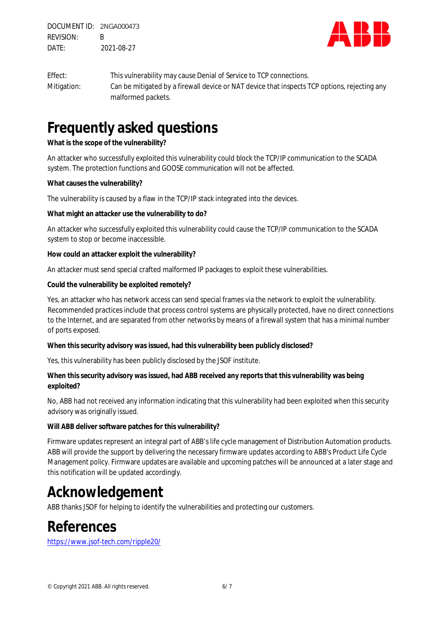

Effect: This vulnerability may cause Denial of Service to TCP connections. Mitigation: Can be mitigated by a firewall device or NAT device that inspects TCP options, rejecting any malformed packets.

#### **Frequently asked questions**

**What is the scope of the vulnerability?**

An attacker who successfully exploited this vulnerability could block the TCP/IP communication to the SCADA system. The protection functions and GOOSE communication will not be affected.

**What causes the vulnerability?**

The vulnerability is caused by a flaw in the TCP/IP stack integrated into the devices.

**What might an attacker use the vulnerability to do?**

An attacker who successfully exploited this vulnerability could cause the TCP/IP communication to the SCADA system to stop or become inaccessible.

**How could an attacker exploit the vulnerability?**

An attacker must send special crafted malformed IP packages to exploit these vulnerabilities.

**Could the vulnerability be exploited remotely?**

Yes, an attacker who has network access can send special frames via the network to exploit the vulnerability. Recommended practices include that process control systems are physically protected, have no direct connections to the Internet, and are separated from other networks by means of a firewall system that has a minimal number of ports exposed.

**When this security advisory was issued, had this vulnerability been publicly disclosed?**

Yes, this vulnerability has been publicly disclosed by the JSOF institute.

**When this security advisory was issued, had ABB received any reports that this vulnerability was being exploited?**

No, ABB had not received any information indicating that this vulnerability had been exploited when this security advisory was originally issued.

**Will ABB deliver software patches for this vulnerability?**

Firmware updates represent an integral part of ABB's life cycle management of Distribution Automation products. ABB will provide the support by delivering the necessary firmware updates according to ABB's Product Life Cycle Management policy. Firmware updates are available and upcoming patches will be announced at a later stage and this notification will be updated accordingly.

#### **Acknowledgement**

ABB thanks JSOF for helping to identify the vulnerabilities and protecting our customers.

#### **References**

https://www.jsof-tech.com/ripple20/